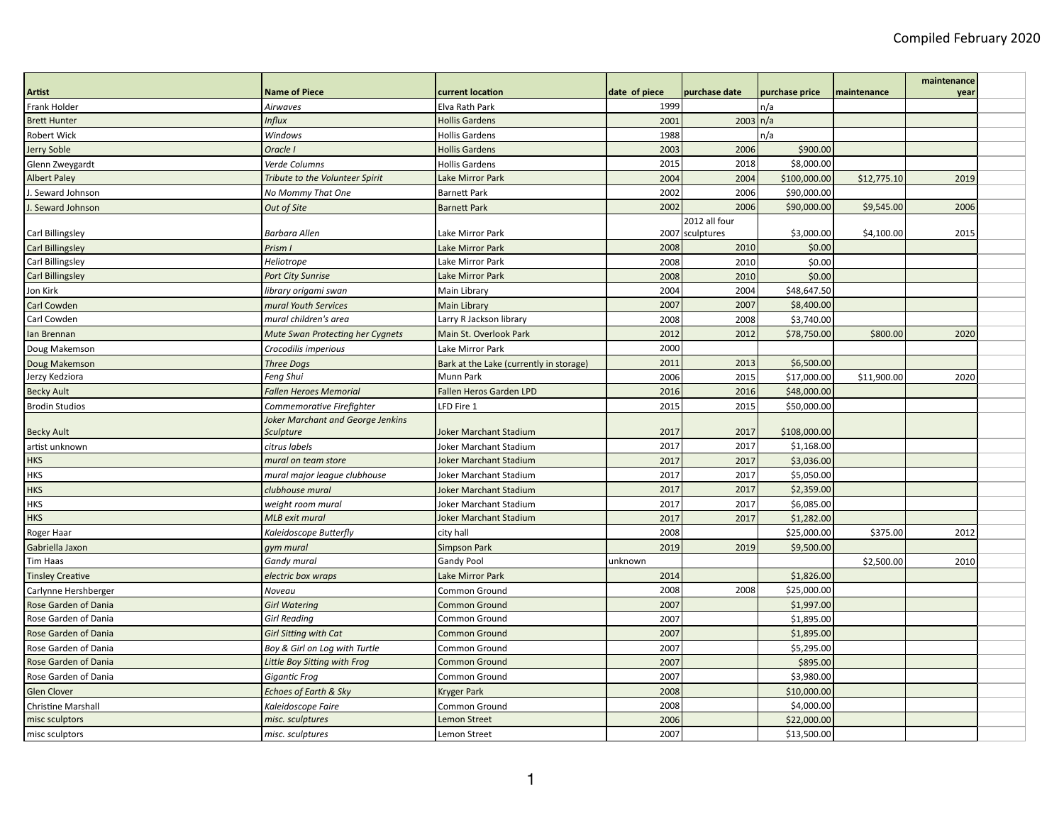|                           |                                                              |                                         |               |                   |                |             | maintenance |
|---------------------------|--------------------------------------------------------------|-----------------------------------------|---------------|-------------------|----------------|-------------|-------------|
| Artist                    | <b>Name of Piece</b>                                         | current location                        | date of piece | purchase date     | purchase price | maintenance | year        |
| Frank Holder              | Airwaves                                                     | Elva Rath Park                          | 1999          |                   | n/a            |             |             |
| <b>Brett Hunter</b>       | <b>Influx</b>                                                | <b>Hollis Gardens</b>                   | 2001          | $2003 \nvert n/a$ |                |             |             |
| Robert Wick               | Windows                                                      | <b>Hollis Gardens</b>                   | 1988          |                   | n/a            |             |             |
| Jerry Soble               | Oracle I                                                     | <b>Hollis Gardens</b>                   | 2003          | 2006              | \$900.00       |             |             |
| Glenn Zweygardt           | Verde Columns                                                | <b>Hollis Gardens</b>                   | 2015          | 2018              | \$8,000.00     |             |             |
| <b>Albert Paley</b>       | Tribute to the Volunteer Spirit                              | Lake Mirror Park                        | 2004          | 2004              | \$100,000.00   | \$12,775.10 | 2019        |
| J. Seward Johnson         | No Mommy That One                                            | <b>Barnett Park</b>                     | 2002          | 2006              | \$90,000.00    |             |             |
| . Seward Johnson          | Out of Site                                                  | <b>Barnett Park</b>                     | 2002          | 2006              | \$90,000.00    | \$9,545.00  | 2006        |
|                           |                                                              |                                         |               | 2012 all four     |                |             |             |
| Carl Billingsley          | <b>Barbara Allen</b>                                         | Lake Mirror Park                        |               | 2007 sculptures   | \$3,000.00     | \$4,100.00  | 2015        |
| <b>Carl Billingsley</b>   | Prism I                                                      | Lake Mirror Park                        | 2008          | 2010              | \$0.00         |             |             |
| Carl Billingsley          | Heliotrope                                                   | Lake Mirror Park                        | 2008          | 2010              | \$0.00         |             |             |
| <b>Carl Billingsley</b>   | <b>Port City Sunrise</b>                                     | Lake Mirror Park                        | 2008          | 2010              | \$0.00         |             |             |
| Jon Kirk                  | library origami swan                                         | Main Library                            | 2004          | 2004              | \$48,647.50    |             |             |
| Carl Cowden               | mural Youth Services                                         | Main Library                            | 2007          | 2007              | \$8,400.00     |             |             |
| Carl Cowden               | mural children's area                                        | Larry R Jackson library                 | 2008          | 2008              | \$3,740.00     |             |             |
| lan Brennan               | Mute Swan Protecting her Cygnets                             | Main St. Overlook Park                  | 2012          | 2012              | \$78,750.00    | \$800.00    | 2020        |
| Doug Makemson             | Crocodilis imperious                                         | Lake Mirror Park                        | 2000          |                   |                |             |             |
| Doug Makemson             | <b>Three Dogs</b>                                            | Bark at the Lake (currently in storage) | 2011          | 2013              | \$6,500.00     |             |             |
| Jerzy Kedziora            | Feng Shui                                                    | Munn Park                               | 2006          | 2015              | \$17,000.00    | \$11,900.00 | 2020        |
| <b>Becky Ault</b>         | <b>Fallen Heroes Memorial</b>                                | Fallen Heros Garden LPD                 | 2016          | 2016              | \$48,000.00    |             |             |
| <b>Brodin Studios</b>     | Commemorative Firefighter                                    | LFD Fire 1                              | 2015          | 2015              | \$50,000.00    |             |             |
| <b>Becky Ault</b>         | <b>Joker Marchant and George Jenkins</b><br><b>Sculpture</b> | <b>Joker Marchant Stadium</b>           | 2017          | 2017              | \$108,000.00   |             |             |
| artist unknown            | citrus labels                                                | Joker Marchant Stadium                  | 2017          | 2017              | \$1,168.00     |             |             |
| <b>HKS</b>                | mural on team store                                          | <b>Joker Marchant Stadium</b>           | 2017          | 2017              | \$3,036.00     |             |             |
| <b>HKS</b>                | mural major league clubhouse                                 | Joker Marchant Stadium                  | 2017          | 2017              | \$5,050.00     |             |             |
| <b>HKS</b>                | clubhouse mural                                              | <b>Joker Marchant Stadium</b>           | 2017          | 2017              | \$2,359.00     |             |             |
| <b>HKS</b>                | weight room mural                                            | Joker Marchant Stadium                  | 2017          | 2017              | \$6,085.00     |             |             |
| <b>HKS</b>                | <b>MLB</b> exit mural                                        | <b>Joker Marchant Stadium</b>           | 2017          | 2017              | \$1,282.00     |             |             |
| Roger Haar                | Kaleidoscope Butterfly                                       | city hall                               | 2008          |                   | \$25,000.00    | \$375.00    | 2012        |
| Gabriella Jaxon           | gym mural                                                    | Simpson Park                            | 2019          | 2019              | \$9,500.00     |             |             |
| <b>Tim Haas</b>           | Gandy mural                                                  | <b>Gandy Pool</b>                       | unknown       |                   |                | \$2,500.00  | 2010        |
| <b>Tinsley Creative</b>   | electric box wraps                                           | Lake Mirror Park                        | 2014          |                   | \$1,826.00     |             |             |
| Carlynne Hershberger      | Noveau                                                       | Common Ground                           | 2008          | 2008              | \$25,000.00    |             |             |
| Rose Garden of Dania      | <b>Girl Watering</b>                                         | <b>Common Ground</b>                    | 2007          |                   | \$1,997.00     |             |             |
| Rose Garden of Dania      | <b>Girl Reading</b>                                          | Common Ground                           | 2007          |                   | \$1,895.00     |             |             |
| Rose Garden of Dania      | <b>Girl Sitting with Cat</b>                                 | <b>Common Ground</b>                    | 2007          |                   | \$1,895.00     |             |             |
| Rose Garden of Dania      | Boy & Girl on Log with Turtle                                | Common Ground                           | 2007          |                   | \$5,295.00     |             |             |
| Rose Garden of Dania      | Little Boy Sitting with Frog                                 | <b>Common Ground</b>                    | 2007          |                   | \$895.00       |             |             |
| Rose Garden of Dania      | Gigantic Frog                                                | Common Ground                           | 2007          |                   | \$3,980.00     |             |             |
| <b>Glen Clover</b>        | Echoes of Earth & Sky                                        | <b>Kryger Park</b>                      | 2008          |                   | \$10,000.00    |             |             |
| <b>Christine Marshall</b> | Kaleidoscope Faire                                           | Common Ground                           | 2008          |                   | \$4,000.00     |             |             |
| misc sculptors            | misc. sculptures                                             | Lemon Street                            | 2006          |                   | \$22,000.00    |             |             |
| misc sculptors            | misc. sculptures                                             | Lemon Street                            | 2007          |                   | \$13,500.00    |             |             |
|                           |                                                              |                                         |               |                   |                |             |             |